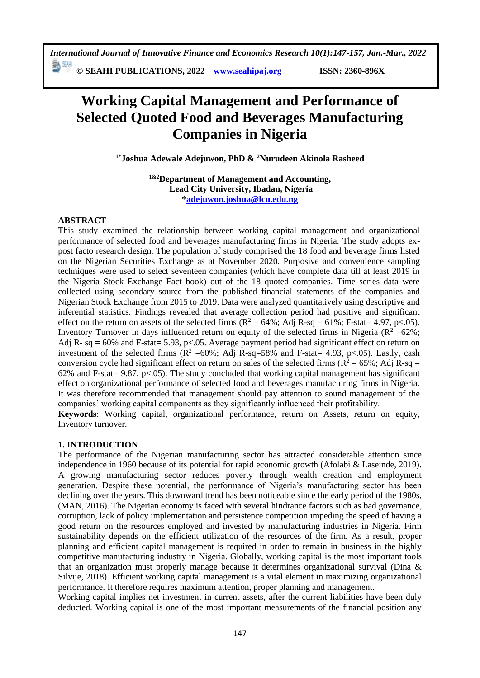**© SEAHI PUBLICATIONS, 2022 [www.seahipaj.org](http://www.seahipaj.org/) ISSN: 2360-896X**

# **Working Capital Management and Performance of Selected Quoted Food and Beverages Manufacturing Companies in Nigeria**

**1\*Joshua Adewale Adejuwon, PhD & <sup>2</sup>Nurudeen Akinola Rasheed**

**1&2Department of Management and Accounting, Lead City University, Ibadan, Nigeria [\\*adejuwon.joshua@lcu.edu.ng](mailto:adejuwon.joshua@lcu.edu.ng)**

## **ABSTRACT**

This study examined the relationship between working capital management and organizational performance of selected food and beverages manufacturing firms in Nigeria. The study adopts expost facto research design. The population of study comprised the 18 food and beverage firms listed on the Nigerian Securities Exchange as at November 2020. Purposive and convenience sampling techniques were used to select seventeen companies (which have complete data till at least 2019 in the Nigeria Stock Exchange Fact book) out of the 18 quoted companies. Time series data were collected using secondary source from the published financial statements of the companies and Nigerian Stock Exchange from 2015 to 2019. Data were analyzed quantitatively using descriptive and inferential statistics. Findings revealed that average collection period had positive and significant effect on the return on assets of the selected firms  $(R^2 = 64\%; \text{Adj } R\text{-sq} = 61\%; \text{ F-stat} = 4.97, \text{ p} < .05)$ . Inventory Turnover in days influenced return on equity of the selected firms in Nigeria ( $R^2 = 62\%$ ; Adj R- sq = 60% and F-stat= 5.93, p<.05. Average payment period had significant effect on return on investment of the selected firms ( $R^2$  =60%; Adj R-sq=58% and F-stat= 4.93, p<.05). Lastly, cash conversion cycle had significant effect on return on sales of the selected firms ( $R^2 = 65\%$ ; Adj R-sq = 62% and F-stat = 9.87, p<.05). The study concluded that working capital management has significant effect on organizational performance of selected food and beverages manufacturing firms in Nigeria. It was therefore recommended that management should pay attention to sound management of the companies' working capital components as they significantly influenced their profitability.

**Keywords**: Working capital, organizational performance, return on Assets, return on equity, Inventory turnover.

## **1. INTRODUCTION**

The performance of the Nigerian manufacturing sector has attracted considerable attention since independence in 1960 because of its potential for rapid economic growth (Afolabi & Laseinde, 2019). A growing manufacturing sector reduces poverty through wealth creation and employment generation. Despite these potential, the performance of Nigeria's manufacturing sector has been declining over the years. This downward trend has been noticeable since the early period of the 1980s, (MAN, 2016). The Nigerian economy is faced with several hindrance factors such as bad governance, corruption, lack of policy implementation and persistence competition impeding the speed of having a good return on the resources employed and invested by manufacturing industries in Nigeria. Firm sustainability depends on the efficient utilization of the resources of the firm. As a result, proper planning and efficient capital management is required in order to remain in business in the highly competitive manufacturing industry in Nigeria. Globally, working capital is the most important tools that an organization must properly manage because it determines organizational survival (Dina & Silvije, 2018). Efficient working capital management is a vital element in maximizing organizational performance. It therefore requires maximum attention, proper planning and management.

Working capital implies net investment in current assets, after the current liabilities have been duly deducted. Working capital is one of the most important measurements of the financial position any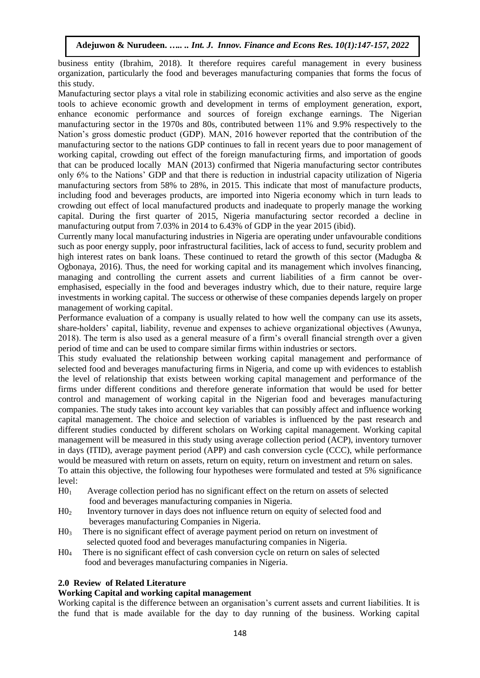business entity (Ibrahim, 2018). It therefore requires careful management in every business organization, particularly the food and beverages manufacturing companies that forms the focus of this study.

Manufacturing sector plays a vital role in stabilizing economic activities and also serve as the engine tools to achieve economic growth and development in terms of employment generation, export, enhance economic performance and sources of foreign exchange earnings. The Nigerian manufacturing sector in the 1970s and 80s, contributed between 11% and 9.9% respectively to the Nation's gross domestic product (GDP). MAN, 2016 however reported that the contribution of the manufacturing sector to the nations GDP continues to fall in recent years due to poor management of working capital, crowding out effect of the foreign manufacturing firms, and importation of goods that can be produced locally MAN (2013) confirmed that Nigeria manufacturing sector contributes only 6% to the Nations' GDP and that there is reduction in industrial capacity utilization of Nigeria manufacturing sectors from 58% to 28%, in 2015. This indicate that most of manufacture products, including food and beverages products, are imported into Nigeria economy which in turn leads to crowding out effect of local manufactured products and inadequate to properly manage the working capital. During the first quarter of 2015, Nigeria manufacturing sector recorded a decline in manufacturing output from 7.03% in 2014 to 6.43% of GDP in the year 2015 (ibid).

Currently many local manufacturing industries in Nigeria are operating under unfavourable conditions such as poor energy supply, poor infrastructural facilities, lack of access to fund, security problem and high interest rates on bank loans. These continued to retard the growth of this sector (Madugba & Ogbonaya, 2016). Thus, the need for working capital and its management which involves financing, managing and controlling the current assets and current liabilities of a firm cannot be overemphasised, especially in the food and beverages industry which, due to their nature, require large investments in working capital. The success or otherwise of these companies depends largely on proper management of working capital.

Performance evaluation of a company is usually related to how well the company can use its assets, share-holders' capital, liability, revenue and expenses to achieve organizational objectives (Awunya, 2018). The term is also used as a general measure of a firm's overall financial strength over a given period of time and can be used to compare similar firms within industries or sectors.

This study evaluated the relationship between working capital management and performance of selected food and beverages manufacturing firms in Nigeria, and come up with evidences to establish the level of relationship that exists between working capital management and performance of the firms under different conditions and therefore generate information that would be used for better control and management of working capital in the Nigerian food and beverages manufacturing companies. The study takes into account key variables that can possibly affect and influence working capital management. The choice and selection of variables is influenced by the past research and different studies conducted by different scholars on Working capital management. Working capital management will be measured in this study using average collection period (ACP), inventory turnover in days (ITID), average payment period (APP) and cash conversion cycle (CCC), while performance would be measured with return on assets, return on equity, return on investment and return on sales. To attain this objective, the following four hypotheses were formulated and tested at 5% significance level:

- H01 Average collection period has no significant effect on the return on assets of selected food and beverages manufacturing companies in Nigeria.
- H02 Inventory turnover in days does not influence return on equity of selected food and beverages manufacturing Companies in Nigeria.
- $H_0$ <sup>3</sup> There is no significant effect of average payment period on return on investment of selected quoted food and beverages manufacturing companies in Nigeria.
- H04 There is no significant effect of cash conversion cycle on return on sales of selected food and beverages manufacturing companies in Nigeria.

#### **2.0 Review of Related Literature**

#### **Working Capital and working capital management**

Working capital is the difference between an organisation's current assets and current liabilities. It is the fund that is made available for the day to day running of the business. Working capital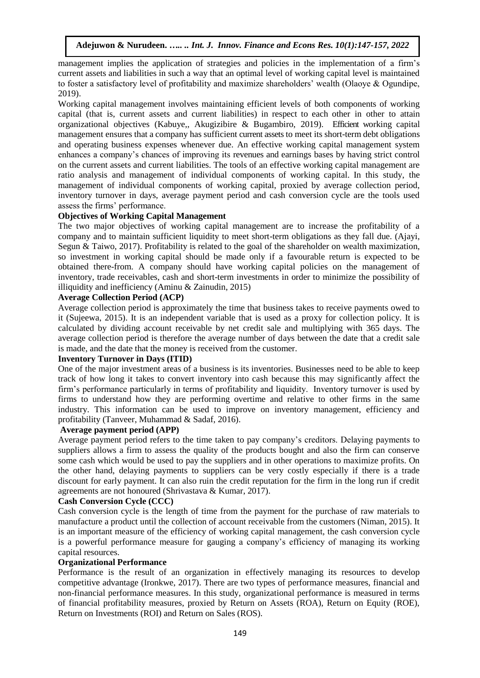management implies the application of strategies and policies in the implementation of a firm's current assets and liabilities in such a way that an optimal level of working capital level is maintained to foster a satisfactory level of profitability and maximize shareholders' wealth (Olaoye & Ogundipe, 2019).

Working capital management involves maintaining efficient levels of both components of working capital (that is, current assets and current liabilities) in respect to each other in other to attain organizational objectives (Kabuye,, Akugizibire & Bugambiro, 2019). Efficient working capital management ensures that a company has sufficient current assets to meet its short-term debt obligations and operating business expenses whenever due. An effective working capital management system enhances a company's chances of improving its revenues and earnings bases by having strict control on the current assets and current liabilities. The tools of an effective working capital management are ratio analysis and management of individual components of working capital. In this study, the management of individual components of working capital, proxied by average collection period, inventory turnover in days, average payment period and cash conversion cycle are the tools used assess the firms' performance.

#### **Objectives of Working Capital Management**

The two major objectives of working capital management are to increase the profitability of a company and to maintain sufficient liquidity to meet short-term obligations as they fall due. (Ajayi, Segun & Taiwo, 2017). Profitability is related to the goal of the shareholder on wealth maximization, so investment in working capital should be made only if a favourable return is expected to be obtained there-from. A company should have working capital policies on the management of inventory, trade receivables, cash and short-term investments in order to minimize the possibility of illiquidity and inefficiency (Aminu  $&$  Zainudin, 2015)

#### **Average Collection Period (ACP)**

Average collection period is approximately the time that business takes to receive payments owed to it (Sujeewa, 2015). It is an independent variable that is used as a proxy for collection policy. It is calculated by dividing account receivable by net credit sale and multiplying with 365 days. The average collection period is therefore the average number of days between the date that a credit sale is made, and the date that the money is received from the customer.

#### **Inventory Turnover in Days (ITID)**

One of the major investment areas of a business is its inventories. Businesses need to be able to keep track of how long it takes to convert inventory into cash because this may significantly affect the firm's performance particularly in terms of profitability and liquidity. Inventory turnover is used by firms to understand how they are performing overtime and relative to other firms in the same industry. This information can be used to improve on inventory management, efficiency and profitability (Tanveer, Muhammad & Sadaf, 2016).

#### **Average payment period (APP)**

Average payment period refers to the time taken to pay company's creditors. Delaying payments to suppliers allows a firm to assess the quality of the products bought and also the firm can conserve some cash which would be used to pay the suppliers and in other operations to maximize profits. On the other hand, delaying payments to suppliers can be very costly especially if there is a trade discount for early payment. It can also ruin the credit reputation for the firm in the long run if credit agreements are not honoured (Shrivastava & Kumar, 2017).

#### **Cash Conversion Cycle (CCC)**

Cash conversion cycle is the length of time from the payment for the purchase of raw materials to manufacture a product until the collection of account receivable from the customers (Niman, 2015). It is an important measure of the efficiency of working capital management, the cash conversion cycle is a powerful performance measure for gauging a company's efficiency of managing its working capital resources.

#### **Organizational Performance**

Performance is the result of an organization in effectively managing its resources to develop competitive advantage (Ironkwe, 2017). There are two types of performance measures, financial and non-financial performance measures. In this study, organizational performance is measured in terms of financial profitability measures, proxied by Return on Assets (ROA), Return on Equity (ROE), Return on Investments (ROI) and Return on Sales (ROS).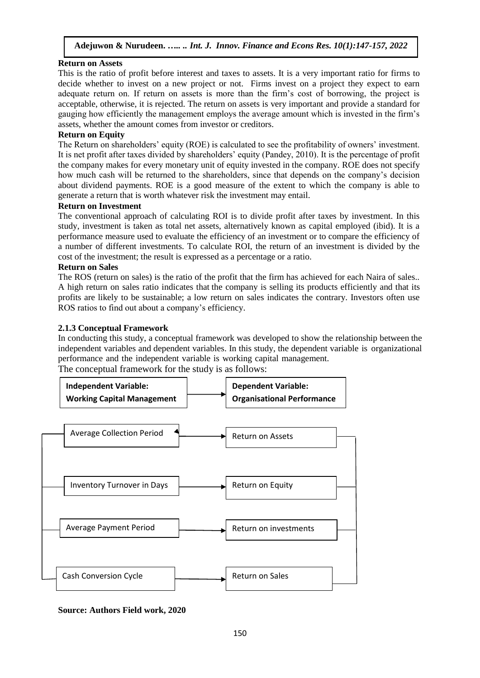## **Return on Assets**

This is the ratio of profit before interest and taxes to assets. It is a very important ratio for firms to decide whether to invest on a new project or not. Firms invest on a project they expect to earn adequate return on. If return on assets is more than the firm's cost of borrowing, the project is acceptable, otherwise, it is rejected. The return on assets is very important and provide a standard for gauging how efficiently the management employs the average amount which is invested in the firm's assets, whether the amount comes from investor or creditors.

## **Return on Equity**

The Return on shareholders' equity (ROE) is calculated to see the profitability of owners' investment. It is net profit after taxes divided by shareholders' equity (Pandey, 2010). It is the percentage of profit the company makes for every monetary unit of equity invested in the company. ROE does not specify how much cash will be returned to the shareholders, since that depends on the company's decision about dividend payments. ROE is a good measure of the extent to which the company is able to generate a return that is worth whatever risk the investment may entail.

#### **Return on Investment**

The conventional approach of calculating ROI is to divide profit after taxes by investment. In this study, investment is taken as total net assets, alternatively known as capital employed (ibid). It is a performance measure used to evaluate the efficiency of an investment or to compare the efficiency of a number of different investments. To calculate ROI, the return of an investment is divided by the cost of the investment; the result is expressed as a percentage or a ratio.

#### **Return on Sales**

The ROS (return on sales) is the ratio of the profit that the firm has achieved for each Naira of sales.. A high return on sales ratio indicates that the company is selling its products efficiently and that its profits are likely to be sustainable; a low return on sales indicates the contrary. Investors often use ROS ratios to find out about a company's efficiency.

#### **2.1.3 Conceptual Framework**

In conducting this study, a conceptual framework was developed to show the relationship between the independent variables and dependent variables. In this study, the dependent variable is organizational performance and the independent variable is working capital management.

The conceptual framework for the study is as follows:



#### **Source: Authors Field work, 2020**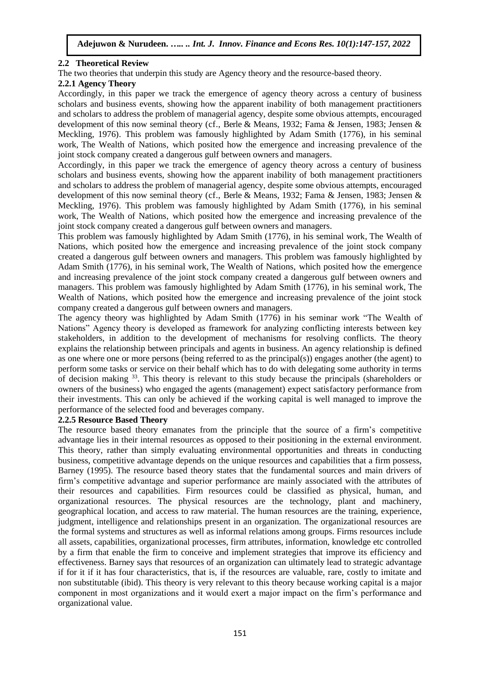## **2.2 Theoretical Review**

The two theories that underpin this study are Agency theory and the resource-based theory.

## **2.2.1 Agency Theory**

Accordingly, in this paper we track the emergence of agency theory across a century of business scholars and business events, showing how the apparent inability of both management practitioners and scholars to address the problem of managerial agency, despite some obvious attempts, encouraged development of this now seminal theory (cf., Berle & Means, 1932; Fama & Jensen, 1983; Jensen & Meckling, 1976). This problem was famously highlighted by Adam Smith (1776), in his seminal work, The Wealth of Nations, which posited how the emergence and increasing prevalence of the joint stock company created a dangerous gulf between owners and managers.

Accordingly, in this paper we track the emergence of agency theory across a century of business scholars and business events, showing how the apparent inability of both management practitioners and scholars to address the problem of managerial agency, despite some obvious attempts, encouraged development of this now seminal theory (cf., Berle & Means, 1932; Fama & Jensen, 1983; Jensen & Meckling, 1976). This problem was famously highlighted by Adam Smith (1776), in his seminal work, The Wealth of Nations, which posited how the emergence and increasing prevalence of the joint stock company created a dangerous gulf between owners and managers.

This problem was famously highlighted by Adam Smith (1776), in his seminal work, The Wealth of Nations, which posited how the emergence and increasing prevalence of the joint stock company created a dangerous gulf between owners and managers. This problem was famously highlighted by Adam Smith (1776), in his seminal work, The Wealth of Nations, which posited how the emergence and increasing prevalence of the joint stock company created a dangerous gulf between owners and managers. This problem was famously highlighted by Adam Smith (1776), in his seminal work, The Wealth of Nations, which posited how the emergence and increasing prevalence of the joint stock company created a dangerous gulf between owners and managers.

The agency theory was highlighted by Adam Smith (1776) in his seminar work "The Wealth of Nations" Agency theory is developed as framework for analyzing conflicting interests between key stakeholders, in addition to the development of mechanisms for resolving conflicts. The theory explains the relationship between [principals a](http://www.investopedia.com/terms/p/principal.asp)nd agents in business. An agency relationship is defined as one where one or more persons (being referred to as the principal(s)) engages another (the agent) to perform some tasks or service on their behalf which has to do with delegating some authority in terms of decision making <sup>33</sup>. This theory is relevant to this study because the principals (shareholders or owners of the business) who engaged the agents (management) expect satisfactory performance from their investments. This can only be achieved if the working capital is well managed to improve the performance of the selected food and beverages company.

#### **2.2.5 Resource Based Theory**

The resource based theory emanates from the principle that the source of a firm's competitive advantage lies in their internal resources as opposed to their positioning in the external environment. This theory, rather than simply evaluating environmental opportunities and threats in conducting business, competitive advantage depends on the unique resources and capabilities that a firm possess, Barney (1995). The resource based theory states that the fundamental sources and main drivers of firm's competitive advantage and superior performance are mainly associated with the attributes of their resources and capabilities. Firm resources could be classified as physical, human, and organizational resources. The physical resources are the technology, plant and machinery, geographical location, and access to raw material. The human resources are the training, experience, judgment, intelligence and relationships present in an organization. The organizational resources are the formal systems and structures as well as informal relations among groups. Firms resources include all assets, capabilities, organizational processes, firm attributes, information, knowledge etc controlled by a firm that enable the firm to conceive and implement strategies that improve its efficiency and effectiveness. Barney says that resources of an organization can ultimately lead to strategic advantage if for it if it has four characteristics, that is, if the resources are valuable, rare, costly to imitate and non substitutable (ibid). This theory is very relevant to this theory because working capital is a major component in most organizations and it would exert a major impact on the firm's performance and organizational value.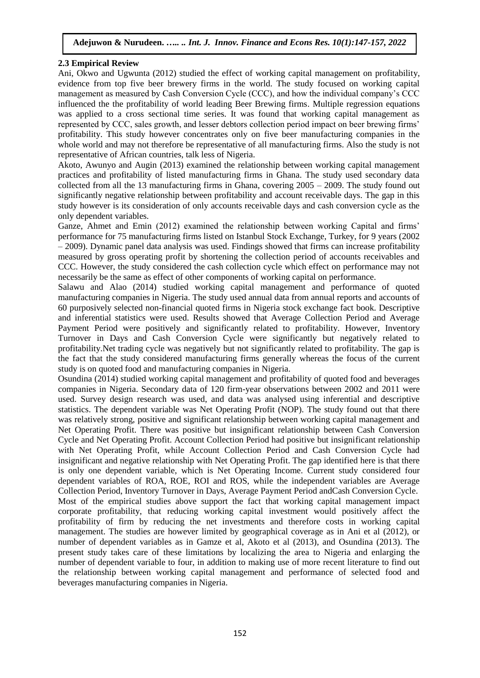### **2.3 Empirical Review**

Ani, Okwo and Ugwunta (2012) studied the effect of working capital management on profitability, evidence from top five beer brewery firms in the world. The study focused on working capital management as measured by Cash Conversion Cycle (CCC), and how the individual company's CCC influenced the the profitability of world leading Beer Brewing firms. Multiple regression equations was applied to a cross sectional time series. It was found that working capital management as represented by CCC, sales growth, and lesser debtors collection period impact on beer brewing firms' profitability. This study however concentrates only on five beer manufacturing companies in the whole world and may not therefore be representative of all manufacturing firms. Also the study is not representative of African countries, talk less of Nigeria.

Akoto, Awunyo and Augin (2013) examined the relationship between working capital management practices and profitability of listed manufacturing firms in Ghana. The study used secondary data collected from all the 13 manufacturing firms in Ghana, covering  $2005 - 2009$ . The study found out significantly negative relationship between profitability and account receivable days. The gap in this study however is its consideration of only accounts receivable days and cash conversion cycle as the only dependent variables.

Ganze, Ahmet and Emin (2012) examined the relationship between working Capital and firms' performance for 75 manufacturing firms listed on Istanbul Stock Exchange, Turkey, for 9 years (2002 – 2009). Dynamic panel data analysis was used. Findings showed that firms can increase profitability measured by gross operating profit by shortening the collection period of accounts receivables and CCC. However, the study considered the cash collection cycle which effect on performance may not necessarily be the same as effect of other components of working capital on performance.

Salawu and Alao (2014) studied working capital management and performance of quoted manufacturing companies in Nigeria. The study used annual data from annual reports and accounts of 60 purposively selected non-financial quoted firms in Nigeria stock exchange fact book. Descriptive and inferential statistics were used. Results showed that Average Collection Period and Average Payment Period were positively and significantly related to profitability. However, Inventory Turnover in Days and Cash Conversion Cycle were significantly but negatively related to profitability.Net trading cycle was negatively but not significantly related to profitability. The gap is the fact that the study considered manufacturing firms generally whereas the focus of the current study is on quoted food and manufacturing companies in Nigeria.

Osundina (2014) studied working capital management and profitability of quoted food and beverages companies in Nigeria. Secondary data of 120 firm-year observations between 2002 and 2011 were used. Survey design research was used, and data was analysed using inferential and descriptive statistics. The dependent variable was Net Operating Profit (NOP). The study found out that there was relatively strong, positive and significant relationship between working capital management and Net Operating Profit. There was positive but insignificant relationship between Cash Conversion Cycle and Net Operating Profit. Account Collection Period had positive but insignificant relationship with Net Operating Profit, while Account Collection Period and Cash Conversion Cycle had insignificant and negative relationship with Net Operating Profit. The gap identified here is that there is only one dependent variable, which is Net Operating Income. Current study considered four dependent variables of ROA, ROE, ROI and ROS, while the independent variables are Average Collection Period, Inventory Turnover in Days, Average Payment Period andCash Conversion Cycle. Most of the empirical studies above support the fact that working capital management impact corporate profitability, that reducing working capital investment would positively affect the profitability of firm by reducing the net investments and therefore costs in working capital management. The studies are however limited by geographical coverage as in Ani et al (2012), or number of dependent variables as in Gamze et al, Akoto et al (2013), and Osundina (2013). The present study takes care of these limitations by localizing the area to Nigeria and enlarging the number of dependent variable to four, in addition to making use of more recent literature to find out the relationship between working capital management and performance of selected food and beverages manufacturing companies in Nigeria.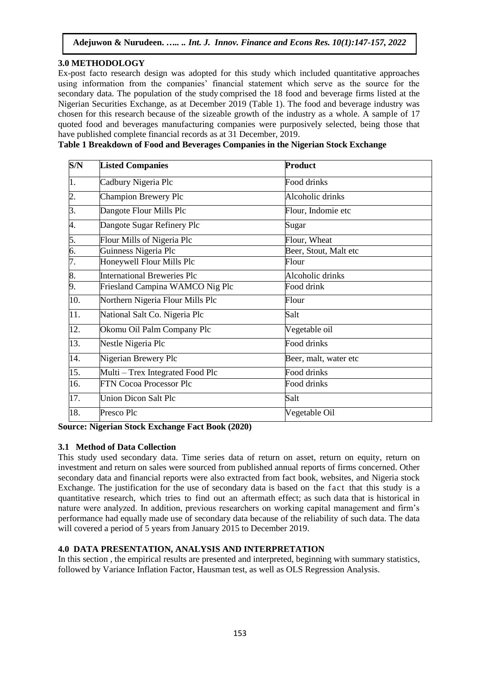## **3.0 METHODOLOGY**

Ex-post facto research design was adopted for this study which included quantitative approaches using information from the companies' financial statement which serve as the source for the secondary data. The population of the study comprised the 18 food and beverage firms listed at the Nigerian Securities Exchange, as at December 2019 (Table 1). The food and beverage industry was chosen for this research because of the sizeable growth of the industry as a whole. A sample of 17 quoted food and beverages manufacturing companies were purposively selected, being those that have published complete financial records as at 31 December, 2019.

|  | Table 1 Breakdown of Food and Beverages Companies in the Nigerian Stock Exchange |  |  |  |
|--|----------------------------------------------------------------------------------|--|--|--|

| S/N              | <b>Listed Companies</b>            | <b>Product</b>        |
|------------------|------------------------------------|-----------------------|
| $\overline{1}$ . | Cadbury Nigeria Plc                | Food drinks           |
| $\overline{2}$ . | <b>Champion Brewery Plc</b>        | Alcoholic drinks      |
| 3.               | Dangote Flour Mills Plc            | Flour, Indomie etc    |
| 4.               | Dangote Sugar Refinery Plc         | Sugar                 |
| 5.               | Flour Mills of Nigeria Plc         | Flour, Wheat          |
| $rac{6}{7}$      | Guinness Nigeria Plc               | Beer, Stout, Malt etc |
|                  | Honeywell Flour Mills Plc          | Flour                 |
| 8.               | <b>International Breweries Plc</b> | Alcoholic drinks      |
| 9.               | Friesland Campina WAMCO Nig Plc    | Food drink            |
| 10.              | Northern Nigeria Flour Mills Plc   | Flour                 |
| 11.              | National Salt Co. Nigeria Plc      | Salt                  |
| 12.              | Okomu Oil Palm Company Plc         | Vegetable oil         |
| 13.              | Nestle Nigeria Plc                 | Food drinks           |
| 14.              | Nigerian Brewery Plc               | Beer, malt, water etc |
| 15.              | Multi – Trex Integrated Food Plc   | Food drinks           |
| 16.              | <b>FTN Cocoa Processor Plc</b>     | Food drinks           |
| 17.              | <b>Union Dicon Salt Plc</b>        | Salt                  |
| 18.              | Presco Plc                         | Vegetable Oil         |

**Source: Nigerian Stock Exchange Fact Book (2020)**

## **3.1 Method of Data Collection**

This study used secondary data. Time series data of return on asset, return on equity, return on investment and return on sales were sourced from published annual reports of firms concerned. Other secondary data and financial reports were also extracted from fact book, websites, and Nigeria stock Exchange. The justification for the use of secondary data is based on the fact that this study is a quantitative research, which tries to find out an aftermath effect; as such data that is historical in nature were analyzed. In addition, previous researchers on working capital management and firm's performance had equally made use of secondary data because of the reliability of such data. The data will covered a period of 5 years from January 2015 to December 2019.

## **4.0 DATA PRESENTATION, ANALYSIS AND INTERPRETATION**

In this section , the empirical results are presented and interpreted, beginning with summary statistics, followed by Variance Inflation Factor, Hausman test, as well as OLS Regression Analysis.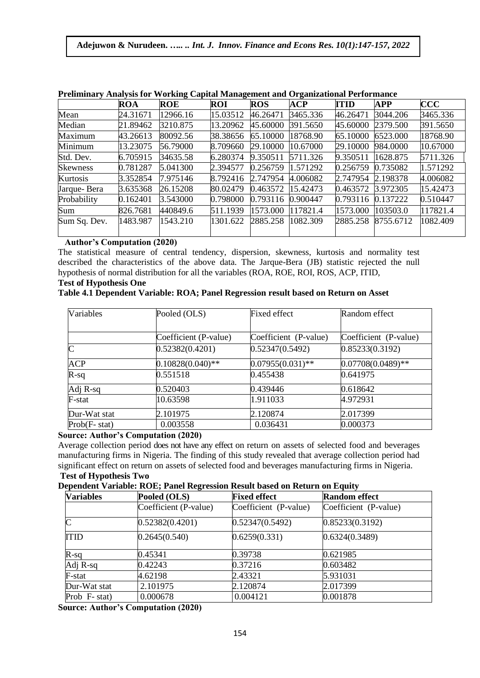|                 | <b>ROA</b> | <b>ROE</b> | ROI      | <b>ROS</b>        | ACP      | <b>ITID</b>       | <b>APP</b>         | CCC      |
|-----------------|------------|------------|----------|-------------------|----------|-------------------|--------------------|----------|
| Mean            | 24.31671   | 12966.16   | 15.03512 | 46.26471          | 3465.336 | 46.26471          | 3044.206           | 3465.336 |
| Median          | 21.89462   | 3210.875   | 13.20962 | 45.60000          | 391.5650 | 45.60000 2379.500 |                    | 391.5650 |
| Maximum         | 43.26613   | 80092.56   | 38.38656 | 65.10000          | 18768.90 | 65.10000 6523.000 |                    | 18768.90 |
| Minimum         | 13.23075   | 56.79000   | 8.709660 | 29.10000          | 10.67000 | 29.10000 984.0000 |                    | 10.67000 |
| Std. Dev.       | 6.705915   | 34635.58   | 6.280374 | 9.350511 5711.326 |          | 9.350511 1628.875 |                    | 5711.326 |
| <b>Skewness</b> | 0.781287   | 5.041300   | 2.394577 | 0.256759          | 1.571292 | 0.256759          | 0.735082           | 1.571292 |
| Kurtosis        | 3.352854   | 7.975146   | 8.792416 | 2.747954          | 4.006082 | 2.747954 2.198378 |                    | 4.006082 |
| Jarque-Bera     | 3.635368   | 26.15208   | 80.02479 | 0.463572 15.42473 |          | 0.463572 3.972305 |                    | 15.42473 |
| Probability     | 0.162401   | 3.543000   | 0.798000 | 0.793116 0.900447 |          | 0.793116 0.137222 |                    | 0.510447 |
| Sum             | 826.7681   | 440849.6   | 511.1939 | 1573.000          | 117821.4 | 1573.000 103503.0 |                    | 117821.4 |
| Sum Sq. Dev.    | 1483.987   | 1543.210   | 1301.622 | 2885.258          | 1082.309 |                   | 2885.258 8755.6712 | 1082.409 |

#### **Preliminary Analysis for Working Capital Management and Organizational Performance**

# **Author's Computation (2020)**

The statistical measure of central tendency, dispersion, skewness, kurtosis and normality test described the characteristics of the above data. The Jarque-Bera (JB) statistic rejected the null hypothesis of normal distribution for all the variables (ROA, ROE, ROI, ROS, ACP, ITID,

### **Test of Hypothesis One**

| Table 4.1 Dependent Variable: ROA; Panel Regression result based on Return on Asset |  |  |  |
|-------------------------------------------------------------------------------------|--|--|--|
|                                                                                     |  |  |  |

| Variables        | Pooled (OLS)          | <b>Fixed effect</b>   | Random effect         |
|------------------|-----------------------|-----------------------|-----------------------|
|                  |                       |                       |                       |
|                  | Coefficient (P-value) | Coefficient (P-value) | Coefficient (P-value) |
| $\mathsf{C}$     | 0.52382(0.4201)       | 0.52347(0.5492)       | 0.85233(0.3192)       |
| <b>ACP</b>       | $0.10828(0.040)$ **   | $0.07955(0.031)$ **   | $0.07708(0.0489)$ **  |
| $R-sq$           | 0.551518              | 0.455438              | 0.641975              |
| Adj R-sq         | 0.520403              | 0.439446              | 0.618642              |
| F-stat           | 10.63598              | 1.911033              | 4.972931              |
| Dur-Wat stat     | 2.101975              | 2.120874              | 2.017399              |
| $Prob(F - stat)$ | 0.003558              | 0.036431              | 0.000373              |

## **Source: Author's Computation (2020)**

Average collection period does not have any effect on return on assets of selected food and beverages manufacturing firms in Nigeria. The finding of this study revealed that average collection period had significant effect on return on assets of selected food and beverages manufacturing firms in Nigeria. **Test of Hypothesis Two**

#### **Dependent Variable: ROE; Panel Regression Result based on Return on Equity**

| <b>Variables</b> | Pooled (OLS)          | <b>Fixed effect</b>   | <b>Random effect</b>  |
|------------------|-----------------------|-----------------------|-----------------------|
|                  | Coefficient (P-value) | Coefficient (P-value) | Coefficient (P-value) |
| $\overline{C}$   | 0.52382(0.4201)       | 0.52347(0.5492)       | 0.85233(0.3192)       |
| <b>ITID</b>      | 0.2645(0.540)         | 0.6259(0.331)         | 0.6324(0.3489)        |
| $R-sq$           | 0.45341               | 0.39738               | 0.621985              |
| Adj R-sq         | 0.42243               | 0.37216               | 0.603482              |
| F-stat           | 4.62198               | 2.43321               | 5.931031              |
| Dur-Wat stat     | 2.101975              | 2.120874              | 2.017399              |
| Prob F-stat)     | 0.000678              | 0.004121              | 0.001878              |

**Source: Author's Computation (2020)**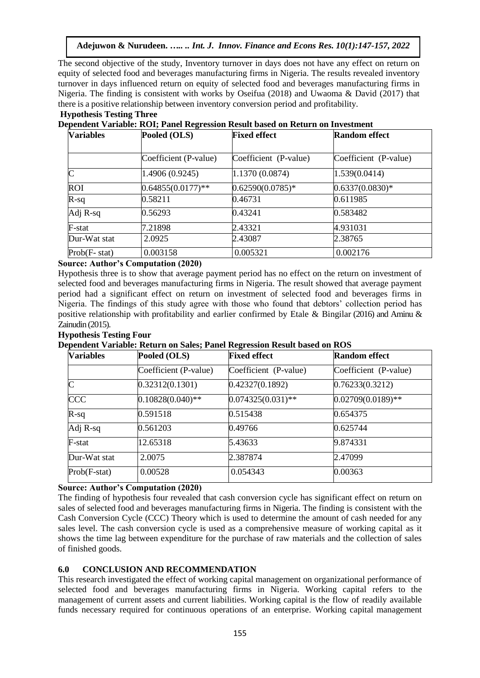The second objective of the study, Inventory turnover in days does not have any effect on return on equity of selected food and beverages manufacturing firms in Nigeria. The results revealed inventory turnover in days influenced return on equity of selected food and beverages manufacturing firms in Nigeria. The finding is consistent with works by Oseifua (2018) and Uwaoma & David (2017) that there is a positive relationship between inventory conversion period and profitability. **Hypothesis Testing Three** 

| <b>Variables</b> | Pooled (OLS)          | <b>Fixed effect</b>   | <b>Random effect</b>  |
|------------------|-----------------------|-----------------------|-----------------------|
|                  | Coefficient (P-value) | Coefficient (P-value) | Coefficient (P-value) |
| $\mathsf{C}$     | 1.4906(0.9245)        | 1.1370(0.0874)        | 1.539(0.0414)         |
| <b>ROI</b>       | $0.64855(0.0177)$ **  | $0.62590(0.0785)*$    | $0.6337(0.0830)*$     |
| $R-sq$           | 0.58211               | 0.46731               | 0.611985              |
| Adj R-sq         | 0.56293               | 0.43241               | 0.583482              |
| F-stat           | 7.21898               | 2.43321               | 4.931031              |
| Dur-Wat stat     | 2.0925                | 2.43087               | 2.38765               |
| $Prob(F - stat)$ | 0.003158              | 0.005321              | 0.002176              |

## **Dependent Variable: ROI; Panel Regression Result based on Return on Investment**

## **Source: Author's Computation (2020)**

Hypothesis three is to show that average payment period has no effect on the return on investment of selected food and beverages manufacturing firms in Nigeria. The result showed that average payment period had a significant effect on return on investment of selected food and beverages firms in Nigeria. The findings of this study agree with those who found that debtors' collection period has positive relationship with profitability and earlier confirmed by Etale & Bingilar (2016) and Aminu & Zainudin (2015).

## **Hypothesis Testing Four**

**Dependent Variable: Return on Sales; Panel Regression Result based on ROS**

| <b>Variables</b> | Pooled (OLS)          | <b>Fixed effect</b>   | <b>Random effect</b>  |
|------------------|-----------------------|-----------------------|-----------------------|
|                  | Coefficient (P-value) | Coefficient (P-value) | Coefficient (P-value) |
| $\overline{C}$   | 0.32312(0.1301)       | 0.42327(0.1892)       | 0.76233(0.3212)       |
| CCC              | $0.10828(0.040)$ **   | $0.074325(0.031)$ **  | $0.02709(0.0189)$ **  |
| $R-sq$           | 0.591518              | 0.515438              | 0.654375              |
| Adj R-sq         | 0.561203              | 0.49766               | 0.625744              |
| F-stat           | 12.65318              | 5.43633               | 9.874331              |
| Dur-Wat stat     | 2.0075                | 2.387874              | 2.47099               |
| $Prob(F-stat)$   | 0.00528               | 0.054343              | 0.00363               |

#### **Source: Author's Computation (2020)**

The finding of hypothesis four revealed that cash conversion cycle has significant effect on return on sales of selected food and beverages manufacturing firms in Nigeria. The finding is consistent with the Cash Conversion Cycle (CCC) Theory which is used to determine the amount of cash needed for any sales level. The cash conversion cycle is used as a comprehensive measure of working capital as it shows the time lag between expenditure for the purchase of raw materials and the collection of sales of finished goods.

#### **6.0 CONCLUSION AND RECOMMENDATION**

This research investigated the effect of working capital management on organizational performance of selected food and beverages manufacturing firms in Nigeria. Working capital refers to the management of current assets and current liabilities. Working capital is the flow of readily available funds necessary required for continuous operations of an enterprise. Working capital management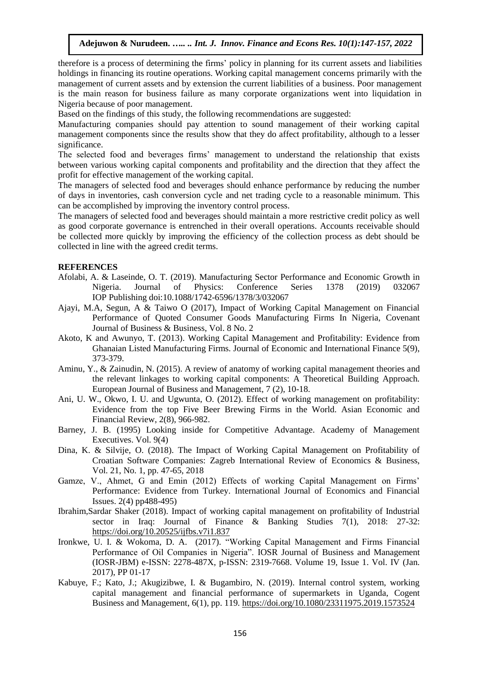therefore is a process of determining the firms' policy in planning for its current assets and liabilities holdings in financing its routine operations. Working capital management concerns primarily with the management of current assets and by extension the current liabilities of a business. Poor management is the main reason for business failure as many corporate organizations went into liquidation in Nigeria because of poor management.

Based on the findings of this study, the following recommendations are suggested:

Manufacturing companies should pay attention to sound management of their working capital management components since the results show that they do affect profitability, although to a lesser significance.

The selected food and beverages firms' management to understand the relationship that exists between various working capital components and profitability and the direction that they affect the profit for effective management of the working capital.

The managers of selected food and beverages should enhance performance by reducing the number of days in inventories, cash conversion cycle and net trading cycle to a reasonable minimum. This can be accomplished by improving the inventory control process.

The managers of selected food and beverages should maintain a more restrictive credit policy as well as good corporate governance is entrenched in their overall operations. Accounts receivable should be collected more quickly by improving the efficiency of the collection process as debt should be collected in line with the agreed credit terms.

#### **REFERENCES**

- Afolabi, A. & Laseinde, O. T. (2019). Manufacturing Sector Performance and Economic Growth in Nigeria. Journal of Physics: Conference Series 1378 (2019) 032067 IOP Publishing doi:10.1088/1742-6596/1378/3/032067
- Ajayi, M.A, Segun, A & Taiwo O (2017), Impact of Working Capital Management on Financial Performance of Quoted Consumer Goods Manufacturing Firms In Nigeria, Covenant Journal of Business & Business, Vol. 8 No. 2
- Akoto, K and Awunyo, T. (2013). Working Capital Management and Profitability: Evidence from Ghanaian Listed Manufacturing Firms. Journal of Economic and International Finance 5(9), 373-379.
- Aminu, Y., & Zainudin, N. (2015). A review of anatomy of working capital management theories and the relevant linkages to working capital components: A Theoretical Building Approach. European Journal of Business and Management, 7 (2), 10-18.
- Ani, U. W., Okwo, I. U. and Ugwunta, O. (2012). Effect of working management on profitability: Evidence from the top Five Beer Brewing Firms in the World. Asian Economic and Financial Review, 2(8), 966-982.
- Barney, J. B. (1995) Looking inside for Competitive Advantage. Academy of Management Executives. Vol. 9(4)
- Dina, K. & Silvije, O. (2018). The Impact of Working Capital Management on Profitability of Croatian Software Companies: Zagreb International Review of Economics & Business, Vol. 21, No. 1, pp. 47-65, 2018
- Gamze, V., Ahmet, G and Emin (2012) Effects of working Capital Management on Firms' Performance: Evidence from Turkey. International Journal of Economics and Financial Issues. 2(4) pp488-495)
- Ibrahim,Sardar Shaker (2018). Impact of working capital management on profitability of Industrial sector in Iraq: Journal of Finance & Banking Studies 7(1), 2018: 27-32: <https://doi.org/10.20525/ijfbs.v7i1.837>
- Ironkwe, U. I. & Wokoma, D. A. (2017). "Working Capital Management and Firms Financial Performance of Oil Companies in Nigeria". IOSR Journal of Business and Management (IOSR-JBM) e-ISSN: 2278-487X, p-ISSN: 2319-7668. Volume 19, Issue 1. Vol. IV (Jan. 2017), PP 01-17
- Kabuye, F.; Kato, J.; Akugizibwe, I. & Bugambiro, N. (2019). Internal control system, working capital management and financial performance of supermarkets in Uganda, Cogent Business and Management, 6(1), pp. 119.<https://doi.org/10.1080/23311975.2019.1573524>